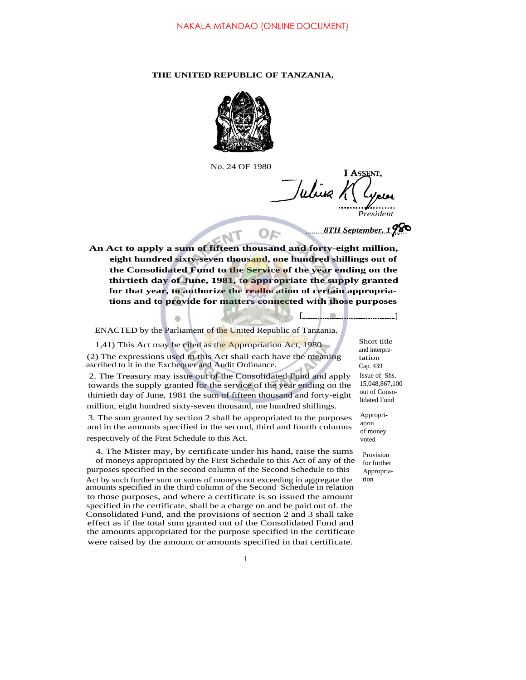#### **THE UNITED REPUBLIC OF TANZANIA,**



No. 24 OF 1980

**I ASSENT** Whise 1 *President*

[.........<mark>................</mark>]

*................................................ 8TH September, 1*

**An Act to apply a sum of fifteen thousand and forty-eight million, eight hundred sixty-seven thousand, one hundred shillings out of the Consolidated Fund to the Service of the year ending on the thirtieth day of June, 1981, to appropriate the supply granted for that year, to authorize the reallocation of certain appropriations and to provide for matters connected with those purposes**

ENACTED by the Parliament of the United Republic of Tanzania.

1,41) This Act may be cited as the Appropriation Act, 1980. Short title

(2) The expressions used m this Act shall each have the meaning ascribed to it in the Exchequer and Audit Ordinance.

2. The Treasury may issue out of the Consolidated Fund and apply towards the supply granted for the service of the year ending on the thirtieth day of June, 1981 the sum of fifteen thousand and forty-eight million, eight hundred sixty-seven thousand, me hundred shillings.

3. The sum granted by section 2 shall be appropriated to the purposes and in the amounts specified in the second, third and fourth columns respectively of the First Schedule to this Act.

4. The Mister may, by certificate under his hand, raise the sums of moneys appropriated by the First Schedule to this Act of any of the purposes specified in the second column of the Second Schedule to this Act by such further sum or sums of moneys not exceeding in aggregate the amounts specified in the third column of the Second Schedule in relation to those purposes, and where a certificate is so issued the amount specified in the certificate, shall be a charge on and be paid out of. the Consolidated Fund, and the provisions of section 2 and 3 shall take effect as if the total sum granted out of the Consolidated Fund and the amounts appropriated for the purpose specified in the certificate were raised by the amount or amounts specified in that certificate.

and interpretation Cap. 439 Issue of Shs. 15,048,867,100 out of Consolidated Fund

Appropriation of money voted

> Provision for further Appropriation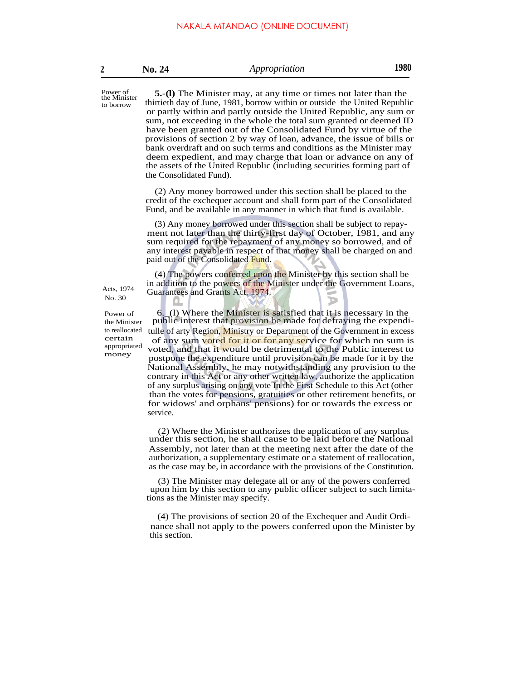| No. 24 | Appropriation | 1980 |
|--------|---------------|------|
|--------|---------------|------|

the Minister to borrow

Power of **5.-(l)** The Minister may, at any time or times not later than the thirtieth day of June, 1981, borrow within or outside the United Republic or partly within and partly outside the United Republic, any sum or sum, not exceeding in the whole the total sum granted or deemed ID have been granted out of the Consolidated Fund by virtue of the provisions of section 2 by way of loan, advance, the issue of bills or bank overdraft and on such terms and conditions as the Minister may deem expedient, and may charge that loan or advance on any of the assets of the United Republic (including securities forming part of the Consolidated Fund).

> (2) Any money borrowed under this section shall be placed to the credit of the exchequer account and shall form part of the Consolidated Fund, and be available in any manner in which that fund is available.

> (3) Any money borrowed under this section shall be subject to repayment not later than the thirty-first day of October, 1981, and any sum required for the repayment of any money so borrowed, and of any interest payable in respect of that money shall be charged on and paid out of the Consolidated Fund.

(4) The powers conferred upon the Minister by this section shall be in addition to the powers of the Minister under the Government Loans, Acts, 1974 Guarantees and Grants Act, 1974.

the Minister to reallocated certain appropriated money

No. 30

Power of  $\sim$  6. (1) Where the Minister is satisfied that it is necessary in the public interest that provision be made for defraying the expenditulle of arty Region, Ministry or Department of the Government in excess of any sum voted for it or for any service for which no sum is voted, and that it would be detrimental to the Public interest to postpone the expenditure until provision can be made for it by the National Assembly, he may notwithstanding any provision to the contrary in this Act or any other written law, authorize the application of any surplus arising on any vote In the First Schedule to this Act (other than the votes for pensions, gratuities or other retirement benefits, or for widows' and orphans' pensions) for or towards the excess or service.

> (2) Where the Minister authorizes the application of any surplus under this section, he shall cause to be laid before the National Assembly, not later than at the meeting next after the date of the authorization, a supplementary estimate or a statement of reallocation, as the case may be, in accordance with the provisions of the Constitution.

> (3) The Minister may delegate all or any of the powers conferred upon him by this section to any public officer subject to such limitations as the Minister may specify.

> (4) The provisions of section 20 of the Exchequer and Audit Ordinance shall not apply to the powers conferred upon the Minister by . this section.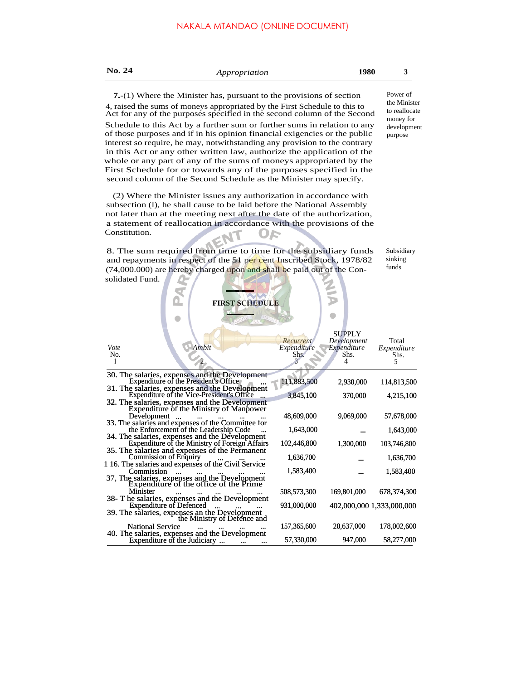| No. 24                                                                                                                                                                                                                                                                                                                                                                                                                                                                                                                          | Appropriation                                                                                                                                                                                                                                                                                   |                                  | 1980                                                     | 3                                         |
|---------------------------------------------------------------------------------------------------------------------------------------------------------------------------------------------------------------------------------------------------------------------------------------------------------------------------------------------------------------------------------------------------------------------------------------------------------------------------------------------------------------------------------|-------------------------------------------------------------------------------------------------------------------------------------------------------------------------------------------------------------------------------------------------------------------------------------------------|----------------------------------|----------------------------------------------------------|-------------------------------------------|
| $7-(1)$ Where the Minister has, pursuant to the provisions of section<br>4, raised the sums of moneys appropriated by the First Schedule to this to<br>Act for any of the purposes specified in the second column of the Second                                                                                                                                                                                                                                                                                                 |                                                                                                                                                                                                                                                                                                 |                                  |                                                          | Power of<br>the Minister<br>to reallocate |
| Schedule to this Act by a further sum or further sums in relation to any<br>of those purposes and if in his opinion financial exigencies or the public<br>interest so require, he may, notwithstanding any provision to the contrary<br>in this Act or any other written law, authorize the application of the<br>whole or any part of any of the sums of moneys appropriated by the<br>First Schedule for or towards any of the purposes specified in the<br>second column of the Second Schedule as the Minister may specify. |                                                                                                                                                                                                                                                                                                 |                                  |                                                          | money for<br>development<br>purpose       |
|                                                                                                                                                                                                                                                                                                                                                                                                                                                                                                                                 | (2) Where the Minister issues any authorization in accordance with<br>subsection (1), he shall cause to be laid before the National Assembly<br>not later than at the meeting next after the date of the authorization,<br>a statement of reallocation in accordance with the provisions of the |                                  |                                                          |                                           |
| Constitution.                                                                                                                                                                                                                                                                                                                                                                                                                                                                                                                   |                                                                                                                                                                                                                                                                                                 |                                  |                                                          |                                           |
| solidated Fund.                                                                                                                                                                                                                                                                                                                                                                                                                                                                                                                 | 8. The sum required from time to time for the subsidiary funds<br>and repayments in respect of the 51 per cent Inscribed Stock, 1978/82<br>(74,000.000) are hereby charged upon and shall be paid out of the Con-<br><b>FIRST SCHEDULE</b>                                                      |                                  |                                                          | Subsidiary<br>sinking<br>funds            |
| Vote<br>No.                                                                                                                                                                                                                                                                                                                                                                                                                                                                                                                     | Ambit                                                                                                                                                                                                                                                                                           | Recurrent<br>Expenditure<br>Shs. | <b>SUPPLY</b><br>Development<br>Expenditure<br>Shs.<br>4 | Total<br>Expenditure<br>Shs.<br>5         |
|                                                                                                                                                                                                                                                                                                                                                                                                                                                                                                                                 | 30. The salaries, expenses and the Development<br>Expenditure of the President's Office                                                                                                                                                                                                         | 111,883,500                      |                                                          |                                           |
|                                                                                                                                                                                                                                                                                                                                                                                                                                                                                                                                 | 31. The salaries, expenses and the Development<br>Expenditure of the Vice-President's Office                                                                                                                                                                                                    | 3,845,100                        | 2,930,000<br>370,000                                     | 114,813,500<br>4,215,100                  |
|                                                                                                                                                                                                                                                                                                                                                                                                                                                                                                                                 | 32. The salaries, expenses and the Development<br>Expenditure of the Ministry of Manpower                                                                                                                                                                                                       |                                  |                                                          |                                           |
| Development<br>$\dddotsc$                                                                                                                                                                                                                                                                                                                                                                                                                                                                                                       | 33. The salaries and expenses of the Committee for                                                                                                                                                                                                                                              | 48,609,000                       | 9,069,000                                                | 57,678,000                                |
|                                                                                                                                                                                                                                                                                                                                                                                                                                                                                                                                 | the Enforcement of the Leadership Code<br>34. The salaries, expenses and the Development                                                                                                                                                                                                        | 1,643,000                        |                                                          | 1,643,000                                 |
|                                                                                                                                                                                                                                                                                                                                                                                                                                                                                                                                 | Expenditure of the Ministry of Foreign Affairs<br>35. The salaries and expenses of the Permanent                                                                                                                                                                                                | 102,446,800                      | 1,300,000                                                | 103,746,800                               |
| <b>Commission of Enquiry</b>                                                                                                                                                                                                                                                                                                                                                                                                                                                                                                    | 116. The salaries and expenses of the Civil Service                                                                                                                                                                                                                                             | 1,636,700                        |                                                          | 1,636,700                                 |
| Commission<br>$\ddotsc$                                                                                                                                                                                                                                                                                                                                                                                                                                                                                                         | 37, The salaries, expenses and the Development<br>Expenditure of the office of the Prime                                                                                                                                                                                                        | 1,583,400                        |                                                          | 1,583,400                                 |
| Minister                                                                                                                                                                                                                                                                                                                                                                                                                                                                                                                        | 38- T he salaries, expenses and the Development                                                                                                                                                                                                                                                 | 508,573,300                      | 169,801,000                                              | 678,374,300                               |
| <b>Expenditure of Defenced</b>                                                                                                                                                                                                                                                                                                                                                                                                                                                                                                  | 39. The salaries, expenses an the Development                                                                                                                                                                                                                                                   | 931,000,000                      | 402,000,000 1,333,000,000                                |                                           |
| <b>National Service</b>                                                                                                                                                                                                                                                                                                                                                                                                                                                                                                         | the Ministry of Defence and<br>40. The salaries, expenses and the Development                                                                                                                                                                                                                   | 157,365,600                      | 20,637,000                                               | 178,002,600                               |
| Expenditure of the Judiciary                                                                                                                                                                                                                                                                                                                                                                                                                                                                                                    | $\cdots$<br>$\ddotsc$                                                                                                                                                                                                                                                                           | 57,330,000                       | 947,000                                                  | 58,277,000                                |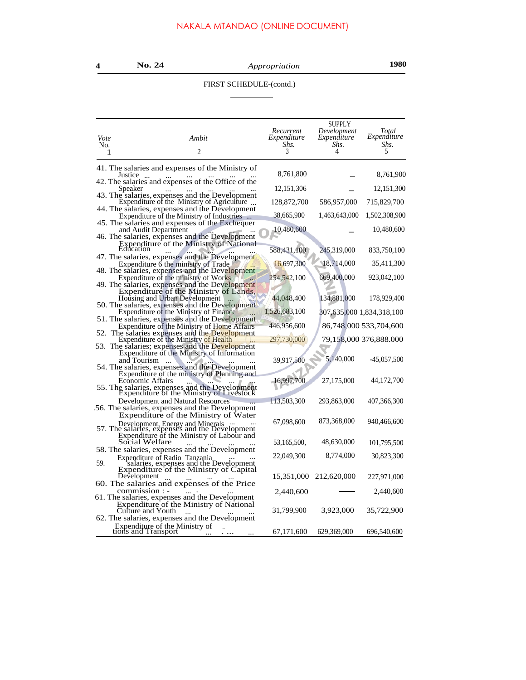# FIRST SCHEDULE-(contd.)

 $\overline{\phantom{a}}$ 

| Vote<br>No. | Ambit<br>2<br>1                                                                                                                                | Recurrent<br>Expenditure<br>Shs.<br>3 | <b>SUPPLY</b><br>Development<br>Expenditure<br>Shs.<br>4 | Total<br>Expenditure<br>Shs.<br>5 |
|-------------|------------------------------------------------------------------------------------------------------------------------------------------------|---------------------------------------|----------------------------------------------------------|-----------------------------------|
|             | 41. The salaries and expenses of the Ministry of                                                                                               |                                       |                                                          |                                   |
|             | Justice<br>42. The salaries and expenses of the Office of the                                                                                  | 8,761,800                             |                                                          | 8,761,900                         |
|             | Speaker                                                                                                                                        | 12, 151, 306                          |                                                          | 12, 151, 300                      |
|             | 43. The salaries, expenses and the Development<br>Expenditure of the Ministry of Agriculture<br>44. The salaries, expenses and the Development | 128,872,700                           | 586,957,000                                              | 715,829,700                       |
|             | Expenditure of the Ministry of Industries                                                                                                      | 38,665,900                            | 1,463,643,000                                            | 1,502,308,900                     |
|             | 45. The salaries and expenses of the Exchequer<br>and Audit Department<br>46. The salaries, expenses and the Development                       | 10,480,600                            |                                                          | 10,480,600                        |
|             | Expenditure of the Ministry of National                                                                                                        | 588,431,100                           | 245,319,000                                              | 833,750,100                       |
|             | 47. The salaries, expenses and the Development<br>Expenditure 6 the ministry of Trade                                                          | 16,697,300                            | 18,714,000                                               | 35,411,300                        |
|             | 48. The salaries, expenses and the Development<br>Expenditure of the ministry of Works<br>49. The salaries, expenses and the Development       | 254,542,100                           | 669,400,000                                              | 923,042,100                       |
|             | Expenditure of the Ministry of Lands,<br>Housing and Urban Development<br>$\ldots$<br>50. The salaries, expenses and the Development           | 44,048,400                            | 134,881,000                                              | 178,929,400                       |
|             | Expenditure of the Ministry of Finance                                                                                                         | 1,526,683,100                         | 307,635,000 1,834,318,100                                |                                   |
|             | 51. The salaries, expenses and the Development<br>Expenditure of the Ministry of Home Affairs                                                  | 446,956,600                           |                                                          | 86,748,000 533,704,600            |
|             | 52. The salaries expenses and the Development<br>Expenditure of the Ministry of Health                                                         | 297,730,000                           |                                                          | 79,158,000 376,888.000            |
|             | 53. The salaries; expenses and the Development<br>Expenditure of the Ministry of Information                                                   |                                       |                                                          |                                   |
|             | and Tourism<br>.<br>54. The salaries, expenses and the Development                                                                             | 39,917,500                            | 5,140,000                                                | -45,057,500                       |
|             | Expenditure of the ministry of Planning and<br>Economic Affairs                                                                                | 16,997,700                            | 27,175,000                                               | 44,172,700                        |
|             | 55. The salaries, expenses and the Development<br>Expenditure of the Ministry of Livestock                                                     |                                       |                                                          |                                   |
|             | Development and Natural Resources<br>56. The salaries, expenses and the Development<br>Expenditure of the Ministry of Water                    | 113,503,300                           | 293,863,000                                              | 407,366,300                       |
|             |                                                                                                                                                | 67,098,600                            | 873,368,000                                              | 940,466,600                       |
|             | Expenditure of the Ministry of Labour and<br>Social Welfare                                                                                    | 53,165,500,                           | 48,630,000                                               | 101,795,500                       |
| 59.         | 58. The salaries, expenses and the Development<br>Expenditure of Radio Tanzania<br>salaries, expenses and the Development                      | 22,049,300                            | 8,774,000                                                | 30,823,300                        |
|             | Expenditure of the Ministry of Capital<br>Development $\ldots$                                                                                 | 15,351,000                            | 212,620,000                                              | 227,971,000                       |
|             | 60. The salaries and expenses of the Price<br>commission : -                                                                                   | 2,440,600                             |                                                          | 2,440,600                         |
|             | 61. The salaries, expenses and the Development<br>Expenditure of the Ministry of National<br>Culture and Youth                                 | 31,799,900                            | 3,923,000                                                | 35,722,900                        |
|             | 62. The salaries, expenses and the Development                                                                                                 |                                       |                                                          |                                   |
|             | Expenditure of the Ministry of<br>tions and Transport                                                                                          | 67, 171, 600                          | 629,369,000                                              | 696,540,600                       |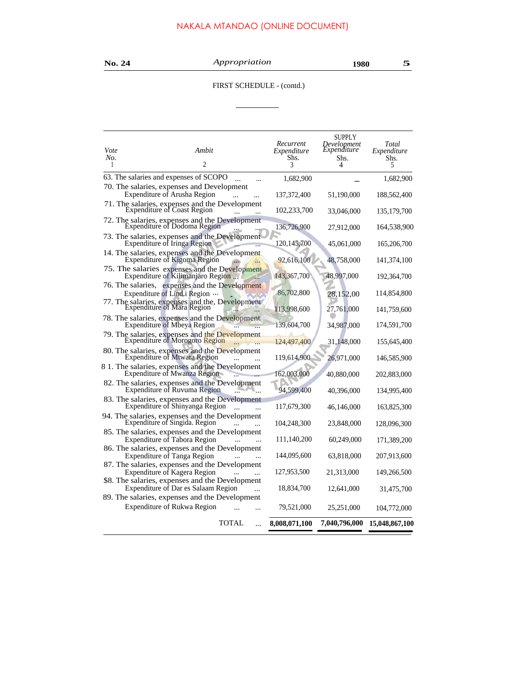| ٦ |  |  |  |
|---|--|--|--|
|---|--|--|--|

**No. 24** *Appropriation* **<sup>1980</sup> 5**

 $\overline{\phantom{0}}$ 

# FIRST SCHEDULE - (contd.)

L

| 63. The salaries and expenses of SCOPO<br>1,682,900<br>70. The salaries, expenses and Development<br>Expenditure of Arusha Region<br>137,372,400<br>51,190,000<br>71. The salaries, expenses and the Development<br>Expenditure of Coast Region<br>102,233,700<br>33,046,000<br>72. The salaries, expenses and the Development<br>Expenditure of Dodoma Region<br>136,726,900<br>27,912,000<br>73. The salaries, expenses and the Development<br>Expenditure of Iringa Region<br>120, 145, 700<br>45,061,000<br>14. The salaries, expenses and the Development<br>Expenditure of Kigoma Region<br>92,616,100<br>48,758,000<br>75. The salaries expenses and the Development<br>Expenditure of Kilimanjaro Region<br>143,367,700<br>48,997,000<br>76. The salaries, expenses and the Development<br>86,702,800<br>Expenditure of Lind.i Region<br>28,152,00<br>77. The salaries, expenses and the, Development<br>Expenditure of Mara Region<br>113,998,600<br>27,761,000<br>78. The salaries, expenses and the Development<br>Expenditure of Mbeya Region<br>139,604,700<br>34,987,000<br>79. The salaries, expenses and the Development<br>Expenditure of Morogoro Region<br>124,497,400<br>31,148,000<br>80. The salaries, expenses and the Development<br>Expenditure of Mtwara Region<br>119,614,900<br>26,971,000<br>8 1. The salaries, expenses and the Development<br>162,003,000<br><b>Expenditure of Mwanza Region</b><br>40,880,000<br>82. The salaries, expenses and the Development<br>Expenditure of Ruvuma Region<br>94,599,400<br>40,396,000<br>83. The salaries, expenses and the Development<br>Expenditure of Shinyanga Region<br>117,679,300<br>46,146,000<br>94. The salaries, expenses and the Development<br>Expenditure of Singida. Region<br>104,248,300<br>23,848,000<br>85. The salaries, expenses and the Development<br>Expenditure of Tabora Region<br>60,249,000<br>111,140,200<br>86. The salaries, expenses and the Development<br><b>Expenditure of Tanga Region</b><br>144,095,600<br>63,818,000<br>87. The salaries, expenses and the Development<br>127,953,500<br>Expenditure of Kagera Region<br>21,313,000<br>\$8. The salaries, expenses and the Development<br>Expenditure of Dar es Salaam Region<br>18,834,700<br>12,641,000<br>89. The salaries, expenses and the Development<br>Expenditure of Rukwa Region<br>79,521,000<br>25,251,000<br>TOTAL<br>7,040,796,000<br>8,008,071,100<br>$\ddotsc$ | Vote<br>No. | Ambit<br>2 | Recurrent<br>Expenditure<br>Shs.<br>3 | <b>SUPPLY</b><br>Development<br>Expenditure<br>Shs.<br>4 | Total<br>Expenditure<br>Shs.<br>5 |
|----------------------------------------------------------------------------------------------------------------------------------------------------------------------------------------------------------------------------------------------------------------------------------------------------------------------------------------------------------------------------------------------------------------------------------------------------------------------------------------------------------------------------------------------------------------------------------------------------------------------------------------------------------------------------------------------------------------------------------------------------------------------------------------------------------------------------------------------------------------------------------------------------------------------------------------------------------------------------------------------------------------------------------------------------------------------------------------------------------------------------------------------------------------------------------------------------------------------------------------------------------------------------------------------------------------------------------------------------------------------------------------------------------------------------------------------------------------------------------------------------------------------------------------------------------------------------------------------------------------------------------------------------------------------------------------------------------------------------------------------------------------------------------------------------------------------------------------------------------------------------------------------------------------------------------------------------------------------------------------------------------------------------------------------------------------------------------------------------------------------------------------------------------------------------------------------------------------------------------------------------------------------------------------------------------------------------------------------------------------------------------------------------------------------------------------------|-------------|------------|---------------------------------------|----------------------------------------------------------|-----------------------------------|
|                                                                                                                                                                                                                                                                                                                                                                                                                                                                                                                                                                                                                                                                                                                                                                                                                                                                                                                                                                                                                                                                                                                                                                                                                                                                                                                                                                                                                                                                                                                                                                                                                                                                                                                                                                                                                                                                                                                                                                                                                                                                                                                                                                                                                                                                                                                                                                                                                                              |             |            |                                       |                                                          | 1,682,900                         |
|                                                                                                                                                                                                                                                                                                                                                                                                                                                                                                                                                                                                                                                                                                                                                                                                                                                                                                                                                                                                                                                                                                                                                                                                                                                                                                                                                                                                                                                                                                                                                                                                                                                                                                                                                                                                                                                                                                                                                                                                                                                                                                                                                                                                                                                                                                                                                                                                                                              |             |            |                                       |                                                          | 188,562,400                       |
|                                                                                                                                                                                                                                                                                                                                                                                                                                                                                                                                                                                                                                                                                                                                                                                                                                                                                                                                                                                                                                                                                                                                                                                                                                                                                                                                                                                                                                                                                                                                                                                                                                                                                                                                                                                                                                                                                                                                                                                                                                                                                                                                                                                                                                                                                                                                                                                                                                              |             |            |                                       |                                                          | 135, 179, 700                     |
|                                                                                                                                                                                                                                                                                                                                                                                                                                                                                                                                                                                                                                                                                                                                                                                                                                                                                                                                                                                                                                                                                                                                                                                                                                                                                                                                                                                                                                                                                                                                                                                                                                                                                                                                                                                                                                                                                                                                                                                                                                                                                                                                                                                                                                                                                                                                                                                                                                              |             |            |                                       |                                                          | 164,538,900                       |
|                                                                                                                                                                                                                                                                                                                                                                                                                                                                                                                                                                                                                                                                                                                                                                                                                                                                                                                                                                                                                                                                                                                                                                                                                                                                                                                                                                                                                                                                                                                                                                                                                                                                                                                                                                                                                                                                                                                                                                                                                                                                                                                                                                                                                                                                                                                                                                                                                                              |             |            |                                       |                                                          | 165,206,700                       |
|                                                                                                                                                                                                                                                                                                                                                                                                                                                                                                                                                                                                                                                                                                                                                                                                                                                                                                                                                                                                                                                                                                                                                                                                                                                                                                                                                                                                                                                                                                                                                                                                                                                                                                                                                                                                                                                                                                                                                                                                                                                                                                                                                                                                                                                                                                                                                                                                                                              |             |            |                                       |                                                          | 141,374,100                       |
|                                                                                                                                                                                                                                                                                                                                                                                                                                                                                                                                                                                                                                                                                                                                                                                                                                                                                                                                                                                                                                                                                                                                                                                                                                                                                                                                                                                                                                                                                                                                                                                                                                                                                                                                                                                                                                                                                                                                                                                                                                                                                                                                                                                                                                                                                                                                                                                                                                              |             |            |                                       |                                                          | 192,364,700                       |
|                                                                                                                                                                                                                                                                                                                                                                                                                                                                                                                                                                                                                                                                                                                                                                                                                                                                                                                                                                                                                                                                                                                                                                                                                                                                                                                                                                                                                                                                                                                                                                                                                                                                                                                                                                                                                                                                                                                                                                                                                                                                                                                                                                                                                                                                                                                                                                                                                                              |             |            |                                       |                                                          | 114,854,800                       |
|                                                                                                                                                                                                                                                                                                                                                                                                                                                                                                                                                                                                                                                                                                                                                                                                                                                                                                                                                                                                                                                                                                                                                                                                                                                                                                                                                                                                                                                                                                                                                                                                                                                                                                                                                                                                                                                                                                                                                                                                                                                                                                                                                                                                                                                                                                                                                                                                                                              |             |            |                                       |                                                          | 141,759,600                       |
|                                                                                                                                                                                                                                                                                                                                                                                                                                                                                                                                                                                                                                                                                                                                                                                                                                                                                                                                                                                                                                                                                                                                                                                                                                                                                                                                                                                                                                                                                                                                                                                                                                                                                                                                                                                                                                                                                                                                                                                                                                                                                                                                                                                                                                                                                                                                                                                                                                              |             |            |                                       |                                                          | 174,591,700                       |
|                                                                                                                                                                                                                                                                                                                                                                                                                                                                                                                                                                                                                                                                                                                                                                                                                                                                                                                                                                                                                                                                                                                                                                                                                                                                                                                                                                                                                                                                                                                                                                                                                                                                                                                                                                                                                                                                                                                                                                                                                                                                                                                                                                                                                                                                                                                                                                                                                                              |             |            |                                       |                                                          | 155,645,400                       |
|                                                                                                                                                                                                                                                                                                                                                                                                                                                                                                                                                                                                                                                                                                                                                                                                                                                                                                                                                                                                                                                                                                                                                                                                                                                                                                                                                                                                                                                                                                                                                                                                                                                                                                                                                                                                                                                                                                                                                                                                                                                                                                                                                                                                                                                                                                                                                                                                                                              |             |            |                                       |                                                          | 146,585,900                       |
|                                                                                                                                                                                                                                                                                                                                                                                                                                                                                                                                                                                                                                                                                                                                                                                                                                                                                                                                                                                                                                                                                                                                                                                                                                                                                                                                                                                                                                                                                                                                                                                                                                                                                                                                                                                                                                                                                                                                                                                                                                                                                                                                                                                                                                                                                                                                                                                                                                              |             |            |                                       |                                                          | 202,883,000                       |
|                                                                                                                                                                                                                                                                                                                                                                                                                                                                                                                                                                                                                                                                                                                                                                                                                                                                                                                                                                                                                                                                                                                                                                                                                                                                                                                                                                                                                                                                                                                                                                                                                                                                                                                                                                                                                                                                                                                                                                                                                                                                                                                                                                                                                                                                                                                                                                                                                                              |             |            |                                       |                                                          | 134,995,400                       |
|                                                                                                                                                                                                                                                                                                                                                                                                                                                                                                                                                                                                                                                                                                                                                                                                                                                                                                                                                                                                                                                                                                                                                                                                                                                                                                                                                                                                                                                                                                                                                                                                                                                                                                                                                                                                                                                                                                                                                                                                                                                                                                                                                                                                                                                                                                                                                                                                                                              |             |            |                                       |                                                          | 163,825,300                       |
|                                                                                                                                                                                                                                                                                                                                                                                                                                                                                                                                                                                                                                                                                                                                                                                                                                                                                                                                                                                                                                                                                                                                                                                                                                                                                                                                                                                                                                                                                                                                                                                                                                                                                                                                                                                                                                                                                                                                                                                                                                                                                                                                                                                                                                                                                                                                                                                                                                              |             |            |                                       |                                                          | 128,096,300                       |
|                                                                                                                                                                                                                                                                                                                                                                                                                                                                                                                                                                                                                                                                                                                                                                                                                                                                                                                                                                                                                                                                                                                                                                                                                                                                                                                                                                                                                                                                                                                                                                                                                                                                                                                                                                                                                                                                                                                                                                                                                                                                                                                                                                                                                                                                                                                                                                                                                                              |             |            |                                       |                                                          | 171,389,200                       |
|                                                                                                                                                                                                                                                                                                                                                                                                                                                                                                                                                                                                                                                                                                                                                                                                                                                                                                                                                                                                                                                                                                                                                                                                                                                                                                                                                                                                                                                                                                                                                                                                                                                                                                                                                                                                                                                                                                                                                                                                                                                                                                                                                                                                                                                                                                                                                                                                                                              |             |            |                                       |                                                          | 207,913,600                       |
|                                                                                                                                                                                                                                                                                                                                                                                                                                                                                                                                                                                                                                                                                                                                                                                                                                                                                                                                                                                                                                                                                                                                                                                                                                                                                                                                                                                                                                                                                                                                                                                                                                                                                                                                                                                                                                                                                                                                                                                                                                                                                                                                                                                                                                                                                                                                                                                                                                              |             |            |                                       |                                                          | 149,266,500                       |
|                                                                                                                                                                                                                                                                                                                                                                                                                                                                                                                                                                                                                                                                                                                                                                                                                                                                                                                                                                                                                                                                                                                                                                                                                                                                                                                                                                                                                                                                                                                                                                                                                                                                                                                                                                                                                                                                                                                                                                                                                                                                                                                                                                                                                                                                                                                                                                                                                                              |             |            |                                       |                                                          | 31,475,700                        |
|                                                                                                                                                                                                                                                                                                                                                                                                                                                                                                                                                                                                                                                                                                                                                                                                                                                                                                                                                                                                                                                                                                                                                                                                                                                                                                                                                                                                                                                                                                                                                                                                                                                                                                                                                                                                                                                                                                                                                                                                                                                                                                                                                                                                                                                                                                                                                                                                                                              |             |            |                                       |                                                          |                                   |
|                                                                                                                                                                                                                                                                                                                                                                                                                                                                                                                                                                                                                                                                                                                                                                                                                                                                                                                                                                                                                                                                                                                                                                                                                                                                                                                                                                                                                                                                                                                                                                                                                                                                                                                                                                                                                                                                                                                                                                                                                                                                                                                                                                                                                                                                                                                                                                                                                                              |             |            |                                       |                                                          | 104,772,000                       |
|                                                                                                                                                                                                                                                                                                                                                                                                                                                                                                                                                                                                                                                                                                                                                                                                                                                                                                                                                                                                                                                                                                                                                                                                                                                                                                                                                                                                                                                                                                                                                                                                                                                                                                                                                                                                                                                                                                                                                                                                                                                                                                                                                                                                                                                                                                                                                                                                                                              |             |            |                                       |                                                          | 15,048,867,100                    |